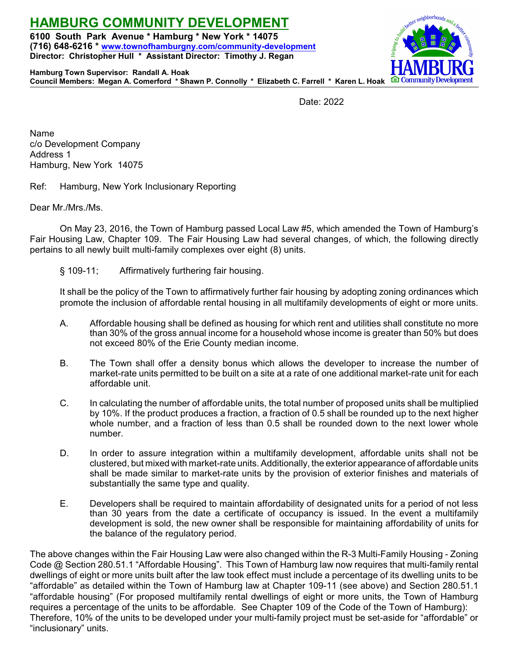**HAMBURG COMMUNITY DEVELOPMENT 6100 South Park Avenue \* Hamburg \* New York \* 14075 (716) 648-6216 \* [www.townofhamburgny.com/community-development](http://www.townofhamburgny.com/cdbg) Director: Christopher Hull \* Assistant Director: Timothy J. Regan**



**Hamburg Town Supervisor: Randall A. Hoak Council Members: Megan A. Comerford \* Shawn P. Connolly \* Elizabeth C. Farrell \* Karen L. Hoak**

Date: 2022

Name c/o Development Company Address 1 Hamburg, New York 14075

Ref: Hamburg, New York Inclusionary Reporting

Dear Mr./Mrs./Ms.

On May 23, 2016, the Town of Hamburg passed Local Law #5, which amended the Town of Hamburg's Fair Housing Law, Chapter 109. The Fair Housing Law had several changes, of which, the following directly pertains to all newly built multi-family complexes over eight (8) units.

§ 109-11; Affirmatively furthering fair housing.

It shall be the policy of the Town to affirmatively further fair housing by adopting zoning ordinances which promote the inclusion of affordable rental housing in all multifamily developments of eight or more units.

- A. Affordable housing shall be defined as housing for which rent and utilities shall constitute no more than 30% of the gross annual income for a household whose income is greater than 50% but does not exceed 80% of the Erie County median income.
- B. The Town shall offer a density bonus which allows the developer to increase the number of market-rate units permitted to be built on a site at a rate of one additional market-rate unit for each affordable unit.
- C. In calculating the number of affordable units, the total number of proposed units shall be multiplied by 10%. If the product produces a fraction, a fraction of 0.5 shall be rounded up to the next higher whole number, and a fraction of less than 0.5 shall be rounded down to the next lower whole number.
- D. In order to assure integration within a multifamily development, affordable units shall not be clustered, but mixed with market-rate units. Additionally, the exterior appearance of affordable units shall be made similar to market-rate units by the provision of exterior finishes and materials of substantially the same type and quality.
- E. Developers shall be required to maintain affordability of designated units for a period of not less than 30 years from the date a certificate of occupancy is issued. In the event a multifamily development is sold, the new owner shall be responsible for maintaining affordability of units for the balance of the regulatory period.

The above changes within the Fair Housing Law were also changed within the R-3 Multi-Family Housing - Zoning Code @ Section 280.51.1 "Affordable Housing". This Town of Hamburg law now requires that multi-family rental dwellings of eight or more units built after the law took effect must include a percentage of its dwelling units to be "affordable" as detailed within the Town of Hamburg law at Chapter 109-11 (see above) and Section 280.51.1 "affordable housing" (For proposed multifamily rental dwellings of eight or more units, the Town of Hamburg requires a percentage of the units to be affordable. See Chapter 109 of the Code of the Town of Hamburg): Therefore, 10% of the units to be developed under your multi-family project must be set-aside for "affordable" or "inclusionary" units.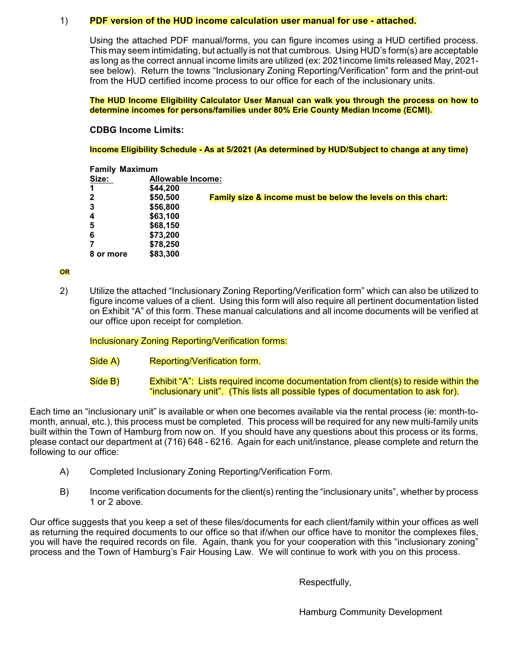#### 1) **PDF version of the HUD income calculation user manual for use - attached.**

Using the attached PDF manual/forms, you can figure incomes using a HUD certified process. This may seem intimidating, but actually is not that cumbrous. Using HUD's form(s) are acceptable as long as the correct annual income limits are utilized (ex: 2021income limits released May, 2021 see below). Return the towns "Inclusionary Zoning Reporting/Verification" form and the print-out from the HUD certified income process to our office for each of the inclusionary units.

**The HUD Income Eligibility Calculator User Manual can walk you through the process on how to determine incomes for persons/families under 80% Erie County Median Income (ECMI).** 

**CDBG Income Limits:**

**Income Eligibility Schedule - As at 5/2021 (As determined by HUD/Subject to change at any time)**

| <b>Family Maximum</b>   |          |                                                              |  |  |  |  |
|-------------------------|----------|--------------------------------------------------------------|--|--|--|--|
| Size:                   |          | Allowable Income:                                            |  |  |  |  |
|                         | \$44,200 |                                                              |  |  |  |  |
| $\overline{2}$          | \$50,500 | Family size & income must be below the levels on this chart: |  |  |  |  |
| $\overline{\mathbf{3}}$ | \$56,800 |                                                              |  |  |  |  |
| $\overline{4}$          | \$63,100 |                                                              |  |  |  |  |
| 5                       | \$68,150 |                                                              |  |  |  |  |
| 6                       | \$73,200 |                                                              |  |  |  |  |
| 7                       | \$78,250 |                                                              |  |  |  |  |
| 8 or more               | \$83,300 |                                                              |  |  |  |  |

**OR**

2) Utilize the attached "Inclusionary Zoning Reporting/Verification form" which can also be utilized to figure income values of a client. Using this form will also require all pertinent documentation listed on Exhibit "A" of this form. These manual calculations and all income documents will be verified at our office upon receipt for completion.

Inclusionary Zoning Reporting/Verification forms:

- Side A) Reporting/Verification form.
- Side B) Exhibit "A": Lists required income documentation from client(s) to reside within the "inclusionary unit". (This lists all possible types of documentation to ask for).

Each time an "inclusionary unit" is available or when one becomes available via the rental process (ie: month-tomonth, annual, etc.), this process must be completed. This process will be required for any new multi-family units built within the Town of Hamburg from now on. If you should have any questions about this process or its forms, please contact our department at (716) 648 - 6216. Again for each unit/instance, please complete and return the following to our office:

- A) Completed Inclusionary Zoning Reporting/Verification Form.
- B) Income verification documents for the client(s) renting the "inclusionary units", whether by process 1 or 2 above.

Our office suggests that you keep a set of these files/documents for each client/family within your offices as well as returning the required documents to our office so that if/when our office have to monitor the complexes files, you will have the required records on file. Again, thank you for your cooperation with this "inclusionary zoning" process and the Town of Hamburg's Fair Housing Law. We will continue to work with you on this process.

Respectfully,

Hamburg Community Development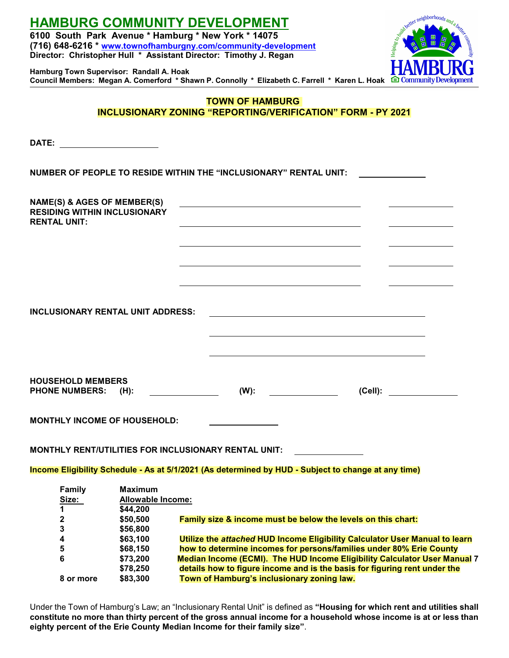| Hamburg Town Supervisor: Randall A. Hoak                                                     |                                                        | <b>HAMBURG COMMUNITY DEVELOPMENT</b><br>6100 South Park Avenue * Hamburg * New York * 14075<br>(716) 648-6216 * www.townofhamburgny.com/community-development<br>Director: Christopher Hull * Assistant Director: Timothy J. Regan<br>Council Members: Megan A. Comerford * Shawn P. Connolly * Elizabeth C. Farrell * Karen L. Hoak <b>C</b> Community Development | ster neighborhoods and<br>community |  |  |
|----------------------------------------------------------------------------------------------|--------------------------------------------------------|---------------------------------------------------------------------------------------------------------------------------------------------------------------------------------------------------------------------------------------------------------------------------------------------------------------------------------------------------------------------|-------------------------------------|--|--|
| <b>TOWN OF HAMBURG</b><br><b>INCLUSIONARY ZONING "REPORTING/VERIFICATION" FORM - PY 2021</b> |                                                        |                                                                                                                                                                                                                                                                                                                                                                     |                                     |  |  |
|                                                                                              |                                                        |                                                                                                                                                                                                                                                                                                                                                                     |                                     |  |  |
|                                                                                              |                                                        |                                                                                                                                                                                                                                                                                                                                                                     |                                     |  |  |
|                                                                                              |                                                        | NUMBER OF PEOPLE TO RESIDE WITHIN THE "INCLUSIONARY" RENTAL UNIT:                                                                                                                                                                                                                                                                                                   |                                     |  |  |
| NAME(S) & AGES OF MEMBER(S)<br><b>RESIDING WITHIN INCLUSIONARY</b><br><b>RENTAL UNIT:</b>    |                                                        | <u> 1980 - Andrea Station, amerikansk politik (d. 1980)</u>                                                                                                                                                                                                                                                                                                         |                                     |  |  |
|                                                                                              |                                                        |                                                                                                                                                                                                                                                                                                                                                                     |                                     |  |  |
| <b>INCLUSIONARY RENTAL UNIT ADDRESS:</b>                                                     |                                                        |                                                                                                                                                                                                                                                                                                                                                                     |                                     |  |  |
| <b>HOUSEHOLD MEMBERS</b><br><b>PHONE NUMBERS:</b>                                            | $(H)$ :                                                | $(W)$ :                                                                                                                                                                                                                                                                                                                                                             | (Cell):                             |  |  |
| <b>MONTHLY INCOME OF HOUSEHOLD:</b>                                                          |                                                        |                                                                                                                                                                                                                                                                                                                                                                     |                                     |  |  |
|                                                                                              |                                                        | <b>MONTHLY RENT/UTILITIES FOR INCLUSIONARY RENTAL UNIT:</b>                                                                                                                                                                                                                                                                                                         |                                     |  |  |
|                                                                                              |                                                        | Income Eligibility Schedule - As at 5/1/2021 (As determined by HUD - Subject to change at any time)                                                                                                                                                                                                                                                                 |                                     |  |  |
| <b>Family</b><br>Size:<br>1                                                                  | <b>Maximum</b><br><b>Allowable Income:</b><br>\$44,200 |                                                                                                                                                                                                                                                                                                                                                                     |                                     |  |  |
| 2<br>3                                                                                       | \$50,500<br>\$56,800                                   | Family size & income must be below the levels on this chart:                                                                                                                                                                                                                                                                                                        |                                     |  |  |
| 4                                                                                            | \$63,100                                               | Utilize the attached HUD Income Eligibility Calculator User Manual to learn                                                                                                                                                                                                                                                                                         |                                     |  |  |
| 5<br>6                                                                                       | \$68,150                                               | how to determine incomes for persons/families under 80% Erie County<br>Median Income (ECMI). The HUD Income Eligibility Calculator User Manual 7                                                                                                                                                                                                                    |                                     |  |  |
|                                                                                              | \$73,200<br>\$78,250                                   | details how to figure income and is the basis for figuring rent under the                                                                                                                                                                                                                                                                                           |                                     |  |  |
| 8 or more                                                                                    | \$83,300                                               | Town of Hamburg's inclusionary zoning law.                                                                                                                                                                                                                                                                                                                          |                                     |  |  |

Under the Town of Hamburg's Law; an "Inclusionary Rental Unit" is defined as **"Housing for which rent and utilities shall constitute no more than thirty percent of the gross annual income for a household whose income is at or less than eighty percent of the Erie County Median Income for their family size"**.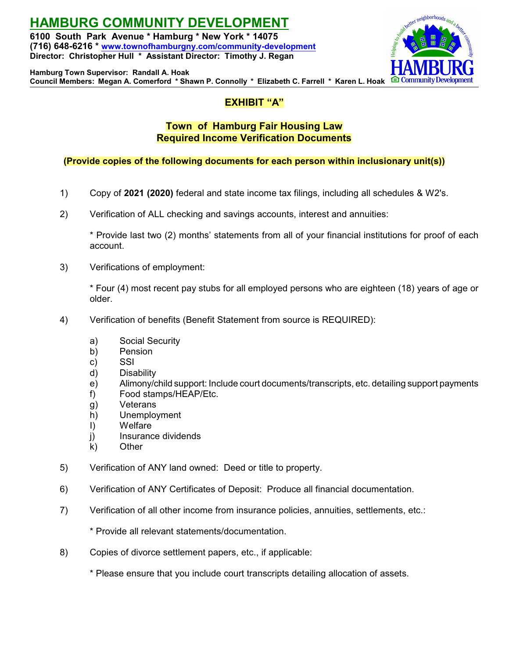**HAMBURG COMMUNITY DEVELOPMENT 6100 South Park Avenue \* Hamburg \* New York \* 14075 (716) 648-6216 \* [www.townofhamburgny.com/community-development](http://www.townofhamburgny.com/cdbg) Director: Christopher Hull \* Assistant Director: Timothy J. Regan**



**Hamburg Town Supervisor: Randall A. Hoak Council Members: Megan A. Comerford \* Shawn P. Connolly \* Elizabeth C. Farrell \* Karen L. Hoak**

## **EXHIBIT "A"**

### **Town of Hamburg Fair Housing Law Required Income Verification Documents**

### **(Provide copies of the following documents for each person within inclusionary unit(s))**

- 1) Copy of **2021 (2020)** federal and state income tax filings, including all schedules & W2's.
- 2) Verification of ALL checking and savings accounts, interest and annuities:

\* Provide last two (2) months' statements from all of your financial institutions for proof of each account.

3) Verifications of employment:

\* Four (4) most recent pay stubs for all employed persons who are eighteen (18) years of age or older.

- 4) Verification of benefits (Benefit Statement from source is REQUIRED):
	- a) Social Security
	- b) Pension
	- c) SSI
	- d) Disability
	- e) Alimony/child support: Include court documents/transcripts, etc. detailing support payments
	- f) Food stamps/HEAP/Etc.
	- g) Veterans
	- h) Unemployment
	- I) Welfare
	- j) Insurance dividends
	- k) Other
- 5) Verification of ANY land owned: Deed or title to property.
- 6) Verification of ANY Certificates of Deposit: Produce all financial documentation.
- 7) Verification of all other income from insurance policies, annuities, settlements, etc.:
	- \* Provide all relevant statements/documentation.
- 8) Copies of divorce settlement papers, etc., if applicable:

\* Please ensure that you include court transcripts detailing allocation of assets.